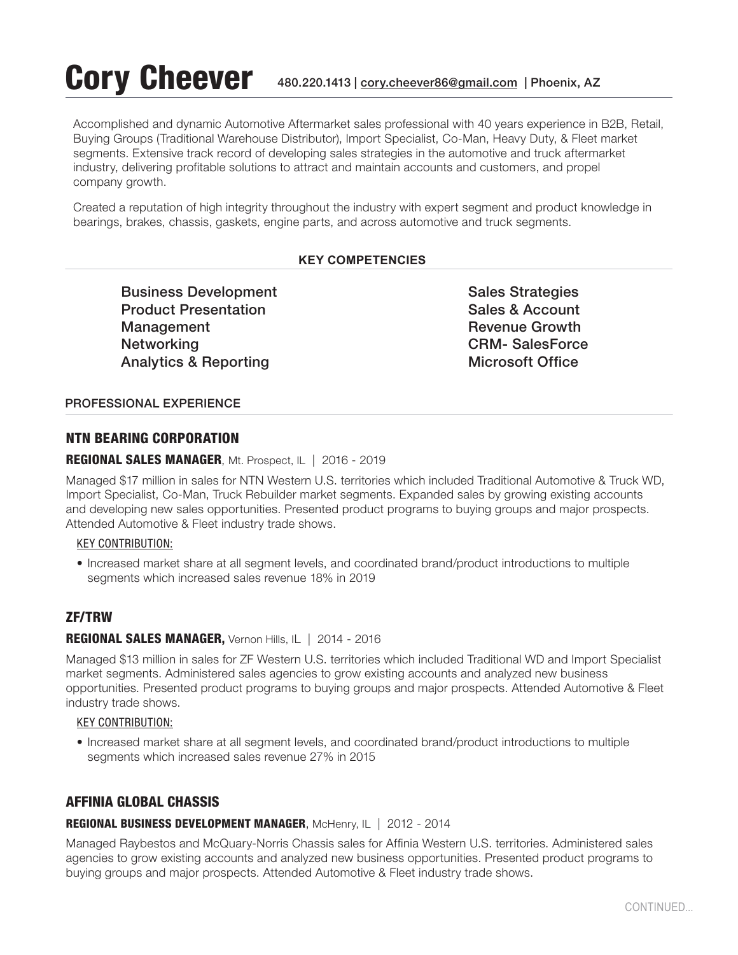# Cory Cheever 480.220.1413 | cory.cheever86@gmail.com | Phoenix, AZ

Accomplished and dynamic Automotive Aftermarket sales professional with 40 years experience in B2B, Retail, Buying Groups (Traditional Warehouse Distributor), Import Specialist, Co-Man, Heavy Duty, & Fleet market segments. Extensive track record of developing sales strategies in the automotive and truck aftermarket industry, delivering profitable solutions to attract and maintain accounts and customers, and propel company growth.

Created a reputation of high integrity throughout the industry with expert segment and product knowledge in bearings, brakes, chassis, gaskets, engine parts, and across automotive and truck segments.

#### **KEY COMPETENCIES**

Business Development Sales Strategies Product Presentation **Sales & Account** Sales & Account Management **Management Revenue Growth Revenue Growth** Networking CRM- SalesForce Analytics & Reporting Microsoft Office

#### PROFESSIONAL EXPERIENCE

# NTN BEARING CORPORATION

# REGIONAL SALES MANAGER, Mt. Prospect, IL | 2016 - 2019

Managed \$17 million in sales for NTN Western U.S. territories which included Traditional Automotive & Truck WD, Import Specialist, Co-Man, Truck Rebuilder market segments. Expanded sales by growing existing accounts and developing new sales opportunities. Presented product programs to buying groups and major prospects. Attended Automotive & Fleet industry trade shows.

#### KEY CONTRIBUTION:

• Increased market share at all segment levels, and coordinated brand/product introductions to multiple segments which increased sales revenue 18% in 2019

# ZF/TRW

#### REGIONAL SALES MANAGER, Vernon Hills, IL | 2014 - 2016

Managed \$13 million in sales for ZF Western U.S. territories which included Traditional WD and Import Specialist market segments. Administered sales agencies to grow existing accounts and analyzed new business opportunities. Presented product programs to buying groups and major prospects. Attended Automotive & Fleet industry trade shows.

#### KEY CONTRIBUTION:

• Increased market share at all segment levels, and coordinated brand/product introductions to multiple segments which increased sales revenue 27% in 2015

# AFFINIA GLOBAL CHASSIS

#### REGIONAL BUSINESS DEVELOPMENT MANAGER, McHenry, IL | 2012 - 2014

Managed Raybestos and McQuary-Norris Chassis sales for Affinia Western U.S. territories. Administered sales agencies to grow existing accounts and analyzed new business opportunities. Presented product programs to buying groups and major prospects. Attended Automotive & Fleet industry trade shows.